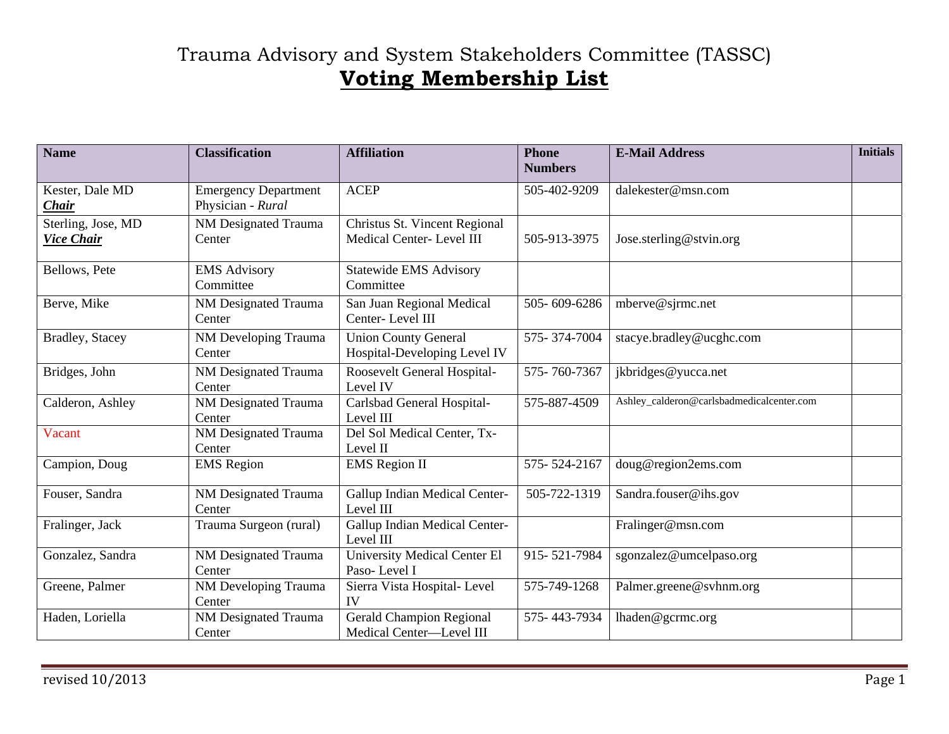## Trauma Advisory and System Stakeholders Committee (TASSC) **Voting Membership List**

| <b>Name</b>                             | <b>Classification</b>                            | <b>Affiliation</b>                                          | <b>Phone</b><br><b>Numbers</b> | <b>E-Mail Address</b>                     | <b>Initials</b> |
|-----------------------------------------|--------------------------------------------------|-------------------------------------------------------------|--------------------------------|-------------------------------------------|-----------------|
| Kester, Dale MD<br><i>Chair</i>         | <b>Emergency Department</b><br>Physician - Rural | <b>ACEP</b>                                                 | 505-402-9209                   | dalekester@msn.com                        |                 |
| Sterling, Jose, MD<br><b>Vice Chair</b> | <b>NM Designated Trauma</b><br>Center            | Christus St. Vincent Regional<br>Medical Center-Level III   | 505-913-3975                   | Jose.sterling@stvin.org                   |                 |
| Bellows, Pete                           | <b>EMS Advisory</b><br>Committee                 | <b>Statewide EMS Advisory</b><br>Committee                  |                                |                                           |                 |
| Berve, Mike                             | NM Designated Trauma<br>Center                   | San Juan Regional Medical<br>Center-Level III               | 505-609-6286                   | mberve@sjrmc.net                          |                 |
| Bradley, Stacey                         | NM Developing Trauma<br>Center                   | <b>Union County General</b><br>Hospital-Developing Level IV | 575-374-7004                   | stacye.bradley@ucghc.com                  |                 |
| Bridges, John                           | <b>NM Designated Trauma</b><br>Center            | Roosevelt General Hospital-<br>Level IV                     | 575-760-7367                   | jkbridges@yucca.net                       |                 |
| Calderon, Ashley                        | NM Designated Trauma<br>Center                   | Carlsbad General Hospital-<br>Level III                     | 575-887-4509                   | Ashley_calderon@carlsbadmedicalcenter.com |                 |
| Vacant                                  | <b>NM Designated Trauma</b><br>Center            | Del Sol Medical Center, Tx-<br>Level II                     |                                |                                           |                 |
| Campion, Doug                           | <b>EMS</b> Region                                | <b>EMS</b> Region II                                        | 575-524-2167                   | doug@region2ems.com                       |                 |
| Fouser, Sandra                          | NM Designated Trauma<br>Center                   | Gallup Indian Medical Center-<br>Level III                  | 505-722-1319                   | Sandra.fouser@ihs.gov                     |                 |
| Fralinger, Jack                         | Trauma Surgeon (rural)                           | Gallup Indian Medical Center-<br>Level III                  |                                | Fralinger@msn.com                         |                 |
| Gonzalez, Sandra                        | NM Designated Trauma<br>Center                   | University Medical Center El<br>Paso-Level I                | 915-521-7984                   | sgonzalez@umcelpaso.org                   |                 |
| Greene, Palmer                          | NM Developing Trauma<br>Center                   | Sierra Vista Hospital- Level<br>IV                          | 575-749-1268                   | Palmer.greene@svhnm.org                   |                 |
| Haden, Loriella                         | <b>NM Designated Trauma</b><br>Center            | <b>Gerald Champion Regional</b><br>Medical Center-Level III | 575-443-7934                   | lhaden@gcrmc.org                          |                 |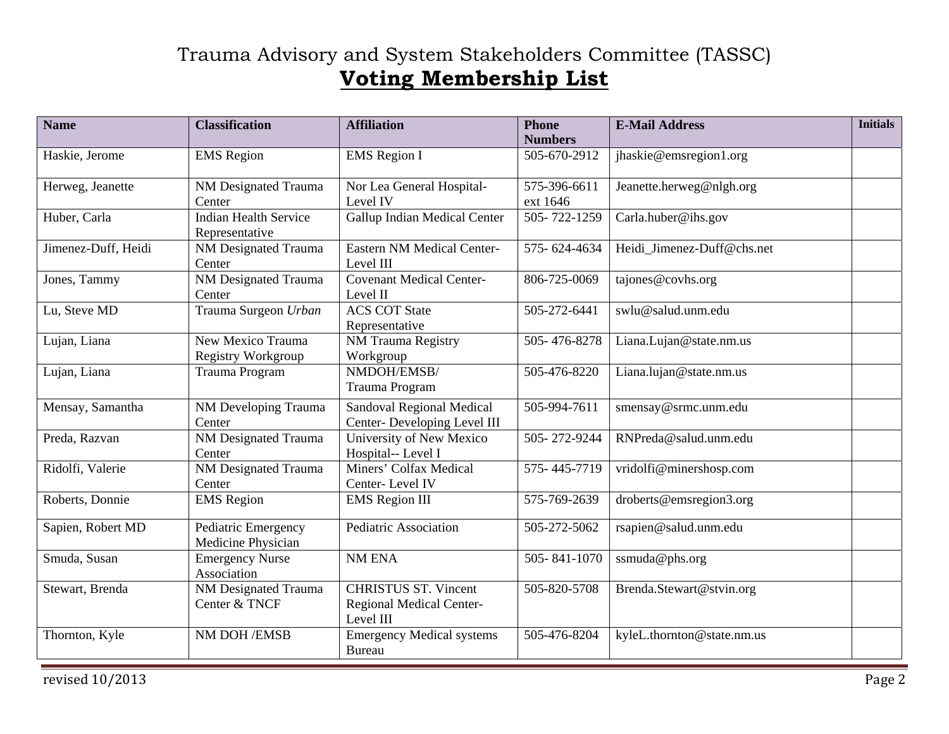## Trauma Advisory and System Stakeholders Committee (TASSC) **Voting Membership List**

| <b>Name</b>         | <b>Classification</b>                     | <b>Affiliation</b>                                                   | <b>Phone</b><br><b>Numbers</b> | <b>E-Mail Address</b>      | <b>Initials</b> |
|---------------------|-------------------------------------------|----------------------------------------------------------------------|--------------------------------|----------------------------|-----------------|
| Haskie, Jerome      | <b>EMS</b> Region                         | <b>EMS</b> Region I                                                  | 505-670-2912                   | jhaskie@emsregion1.org     |                 |
| Herweg, Jeanette    | <b>NM Designated Trauma</b><br>Center     | Nor Lea General Hospital-<br>Level IV                                | 575-396-6611<br>ext 1646       | Jeanette.herweg@nlgh.org   |                 |
| Huber, Carla        | Indian Health Service<br>Representative   | Gallup Indian Medical Center                                         | $\overline{505}$ - 722-1259    | Carla.huber@ihs.gov        |                 |
| Jimenez-Duff, Heidi | <b>NM Designated Trauma</b><br>Center     | <b>Eastern NM Medical Center-</b><br>Level III                       | 575-624-4634                   | Heidi Jimenez-Duff@chs.net |                 |
| Jones, Tammy        | NM Designated Trauma<br>Center            | <b>Covenant Medical Center-</b><br>Level II                          | 806-725-0069                   | tajones@covhs.org          |                 |
| Lu, Steve MD        | Trauma Surgeon Urban                      | <b>ACS COT State</b><br>Representative                               | 505-272-6441                   | swlu@salud.unm.edu         |                 |
| Lujan, Liana        | New Mexico Trauma<br>Registry Workgroup   | NM Trauma Registry<br>Workgroup                                      | 505-476-8278                   | Liana.Lujan@state.nm.us    |                 |
| Lujan, Liana        | Trauma Program                            | NMDOH/EMSB/<br>Trauma Program                                        | 505-476-8220                   | Liana.lujan@state.nm.us    |                 |
| Mensay, Samantha    | NM Developing Trauma<br>Center            | <b>Sandoval Regional Medical</b><br>Center-Developing Level III      | 505-994-7611                   | smensay@srmc.unm.edu       |                 |
| Preda, Razvan       | NM Designated Trauma<br>Center            | University of New Mexico<br>Hospital-- Level I                       | 505-272-9244                   | RNPreda@salud.unm.edu      |                 |
| Ridolfi, Valerie    | <b>NM Designated Trauma</b><br>Center     | Miners' Colfax Medical<br>Center-Level IV                            | 575-445-7719                   | vridolfi@minershosp.com    |                 |
| Roberts, Donnie     | <b>EMS</b> Region                         | <b>EMS</b> Region III                                                | 575-769-2639                   | droberts@emsregion3.org    |                 |
| Sapien, Robert MD   | Pediatric Emergency<br>Medicine Physician | <b>Pediatric Association</b>                                         | 505-272-5062                   | rsapien@salud.unm.edu      |                 |
| Smuda, Susan        | <b>Emergency Nurse</b><br>Association     | NM ENA                                                               | 505-841-1070                   | ssmuda@phs.org             |                 |
| Stewart, Brenda     | NM Designated Trauma<br>Center & TNCF     | <b>CHRISTUS ST. Vincent</b><br>Regional Medical Center-<br>Level III | 505-820-5708                   | Brenda.Stewart@stvin.org   |                 |
| Thornton, Kyle      | NM DOH / EMSB                             | <b>Emergency Medical systems</b><br>Bureau                           | 505-476-8204                   | kyleL.thornton@state.nm.us |                 |